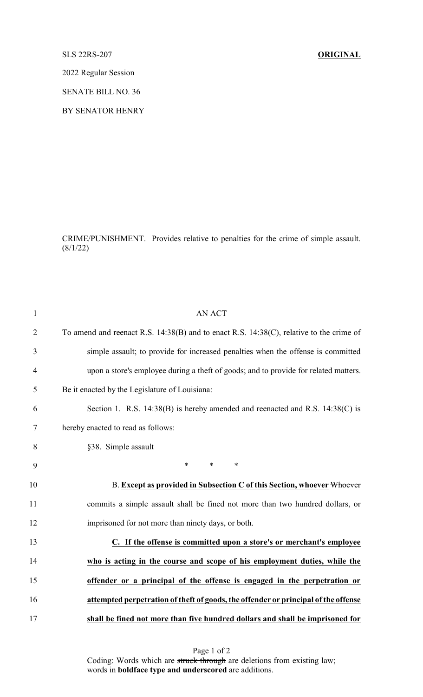### SLS 22RS-207 **ORIGINAL**

2022 Regular Session

SENATE BILL NO. 36

BY SENATOR HENRY

CRIME/PUNISHMENT. Provides relative to penalties for the crime of simple assault. (8/1/22)

| $\mathbf{1}$   | <b>AN ACT</b>                                                                           |
|----------------|-----------------------------------------------------------------------------------------|
| $\overline{2}$ | To amend and reenact R.S. 14:38(B) and to enact R.S. 14:38(C), relative to the crime of |
| 3              | simple assault; to provide for increased penalties when the offense is committed        |
| 4              | upon a store's employee during a theft of goods; and to provide for related matters.    |
| 5              | Be it enacted by the Legislature of Louisiana:                                          |
| 6              | Section 1. R.S. 14:38(B) is hereby amended and reenacted and R.S. 14:38(C) is           |
| 7              | hereby enacted to read as follows:                                                      |
| 8              | §38. Simple assault                                                                     |
| 9              | $\ast$<br>$\ast$<br>$\ast$                                                              |
| 10             | B. Except as provided in Subsection C of this Section, whoever Whoever                  |
| 11             | commits a simple assault shall be fined not more than two hundred dollars, or           |
| 12             | imprisoned for not more than ninety days, or both.                                      |
| 13             | C. If the offense is committed upon a store's or merchant's employee                    |
| 14             | who is acting in the course and scope of his employment duties, while the               |
| 15             | offender or a principal of the offense is engaged in the perpetration or                |
| 16             | attempted perpetration of theft of goods, the offender or principal of the offense      |
| 17             | shall be fined not more than five hundred dollars and shall be imprisoned for           |
|                |                                                                                         |

Page 1 of 2 Coding: Words which are struck through are deletions from existing law; words in **boldface type and underscored** are additions.